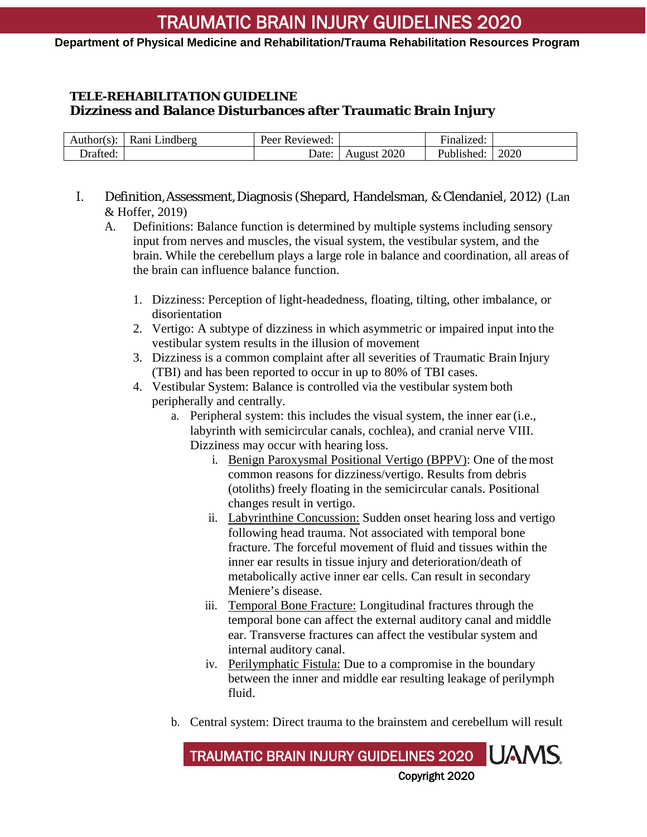### **Department of Physical Medicine and Rehabilitation/Trauma Rehabilitation Resources Program**

## **TELE-REHABILITATION GUIDELINE Dizziness and Balance Disturbances after Traumatic Brain Injury**

| Author(s): | $\mathbf{r}$<br>_indberg<br>Ranı | Reviewed:<br>Peer |                | $\cdot$<br>unalized: |      |
|------------|----------------------------------|-------------------|----------------|----------------------|------|
| rafted.    |                                  | Date              | 2020<br>August | Published:           | 2020 |

- I. Definition,Assessment,Diagnosis (Shepard, Handelsman, & Clendaniel, 2012) (Lan & Hoffer, 2019)
	- A. Definitions: Balance function is determined by multiple systems including sensory input from nerves and muscles, the visual system, the vestibular system, and the brain. While the cerebellum plays a large role in balance and coordination, all areas of the brain can influence balance function.
		- 1. Dizziness: Perception of light-headedness, floating, tilting, other imbalance, or disorientation
		- 2. Vertigo: A subtype of dizziness in which asymmetric or impaired input into the vestibular system results in the illusion of movement
		- 3. Dizziness is a common complaint after all severities of Traumatic Brain Injury (TBI) and has been reported to occur in up to 80% of TBI cases.
		- 4. Vestibular System: Balance is controlled via the vestibular system both peripherally and centrally.
			- a. Peripheral system: this includes the visual system, the inner ear (i.e., labyrinth with semicircular canals, cochlea), and cranial nerve VIII. Dizziness may occur with hearing loss.
				- i. Benign Paroxysmal Positional Vertigo (BPPV): One of the most common reasons for dizziness/vertigo. Results from debris (otoliths) freely floating in the semicircular canals. Positional changes result in vertigo.
				- ii. Labyrinthine Concussion: Sudden onset hearing loss and vertigo following head trauma. Not associated with temporal bone fracture. The forceful movement of fluid and tissues within the inner ear results in tissue injury and deterioration/death of metabolically active inner ear cells. Can result in secondary Meniere's disease.
				- iii. Temporal Bone Fracture: Longitudinal fractures through the temporal bone can affect the external auditory canal and middle ear. Transverse fractures can affect the vestibular system and internal auditory canal.
				- iv. Perilymphatic Fistula: Due to a compromise in the boundary between the inner and middle ear resulting leakage of perilymph fluid.
			- b. Central system: Direct trauma to the brainstem and cerebellum will result

Copyright 2020 TRAUMATIC BRAIN INJURY GUIDELINES 2020 UAMS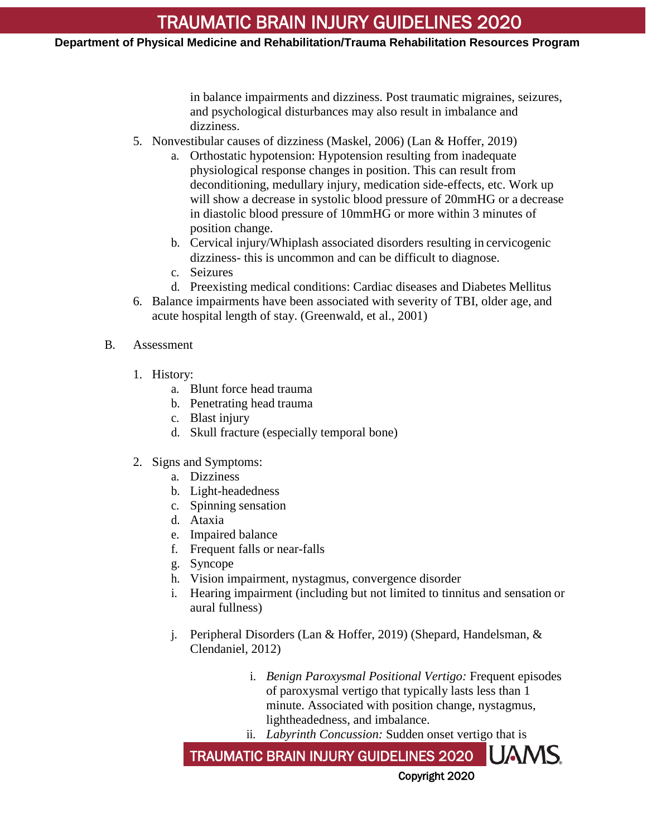## TRAUMATIC BRAIN INJURY GUIDELINES 2020

#### **Department of Physical Medicine and Rehabilitation/Trauma Rehabilitation Resources Program**

in balance impairments and dizziness. Post traumatic migraines, seizures, and psychological disturbances may also result in imbalance and dizziness.

- 5. Nonvestibular causes of dizziness (Maskel, 2006) (Lan & Hoffer, 2019)
	- a. Orthostatic hypotension: Hypotension resulting from inadequate physiological response changes in position. This can result from deconditioning, medullary injury, medication side-effects, etc. Work up will show a decrease in systolic blood pressure of 20mmHG or a decrease in diastolic blood pressure of 10mmHG or more within 3 minutes of position change.
	- b. Cervical injury/Whiplash associated disorders resulting in cervicogenic dizziness- this is uncommon and can be difficult to diagnose.
	- c. Seizures
	- d. Preexisting medical conditions: Cardiac diseases and Diabetes Mellitus
- 6. Balance impairments have been associated with severity of TBI, older age, and acute hospital length of stay. (Greenwald, et al., 2001)
- B. Assessment
	- 1. History:
		- a. Blunt force head trauma
		- b. Penetrating head trauma
		- c. Blast injury
		- d. Skull fracture (especially temporal bone)
	- 2. Signs and Symptoms:
		- a. Dizziness
		- b. Light-headedness
		- c. Spinning sensation
		- d. Ataxia
		- e. Impaired balance
		- f. Frequent falls or near-falls
		- g. Syncope
		- h. Vision impairment, nystagmus, convergence disorder
		- i. Hearing impairment (including but not limited to tinnitus and sensation or aural fullness)
		- j. Peripheral Disorders (Lan & Hoffer, 2019) (Shepard, Handelsman, & Clendaniel, 2012)
			- i. *Benign Paroxysmal Positional Vertigo:* Frequent episodes of paroxysmal vertigo that typically lasts less than 1 minute. Associated with position change, nystagmus, lightheadedness, and imbalance.
			- ii. *Labyrinth Concussion:* Sudden onset vertigo that is

IUAMS TRAUMATIC BRAIN INJURY GUIDELINES 2020 Copyright 2020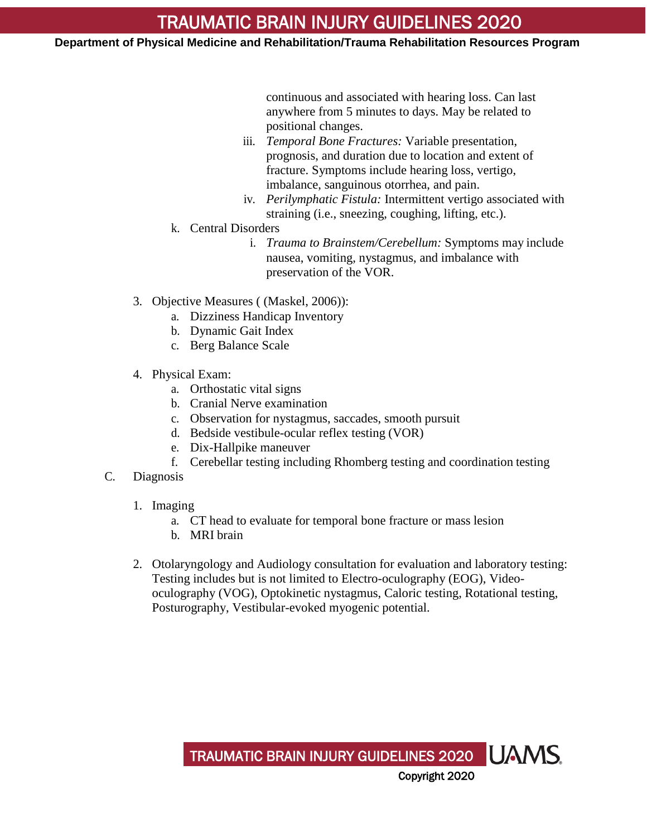**Department of Physical Medicine and Rehabilitation/Trauma Rehabilitation Resources Program**

continuous and associated with hearing loss. Can last anywhere from 5 minutes to days. May be related to positional changes.

- iii. *Temporal Bone Fractures:* Variable presentation, prognosis, and duration due to location and extent of fracture. Symptoms include hearing loss, vertigo, imbalance, sanguinous otorrhea, and pain.
- iv. *Perilymphatic Fistula:* Intermittent vertigo associated with straining (i.e., sneezing, coughing, lifting, etc.).
- k. Central Disorders
	- i. *Trauma to Brainstem/Cerebellum:* Symptoms may include nausea, vomiting, nystagmus, and imbalance with preservation of the VOR.
- 3. Objective Measures ( (Maskel, 2006)):
	- a. Dizziness Handicap Inventory
	- b. Dynamic Gait Index
	- c. Berg Balance Scale
- 4. Physical Exam:
	- a. Orthostatic vital signs
	- b. Cranial Nerve examination
	- c. Observation for nystagmus, saccades, smooth pursuit
	- d. Bedside vestibule-ocular reflex testing (VOR)
	- e. Dix-Hallpike maneuver
	- f. Cerebellar testing including Rhomberg testing and coordination testing
- C. Diagnosis
	- 1. Imaging
		- a. CT head to evaluate for temporal bone fracture or mass lesion
		- b. MRI brain
	- 2. Otolaryngology and Audiology consultation for evaluation and laboratory testing: Testing includes but is not limited to Electro-oculography (EOG), Videooculography (VOG), Optokinetic nystagmus, Caloric testing, Rotational testing, Posturography, Vestibular-evoked myogenic potential.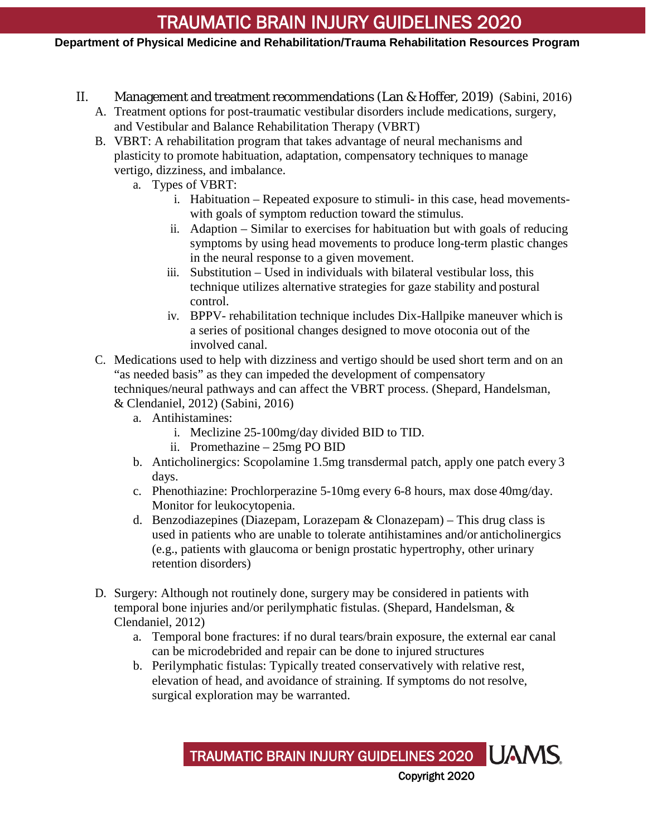# TRAUMATIC BRAIN INJURY GUIDELINES 2020

## **Department of Physical Medicine and Rehabilitation/Trauma Rehabilitation Resources Program**

- II. Management and treatment recommendations (Lan & Hoffer, 2019) (Sabini, 2016)
	- A. Treatment options for post-traumatic vestibular disorders include medications, surgery, and Vestibular and Balance Rehabilitation Therapy (VBRT)
	- B. VBRT: A rehabilitation program that takes advantage of neural mechanisms and plasticity to promote habituation, adaptation, compensatory techniques to manage vertigo, dizziness, and imbalance.
		- a. Types of VBRT:
			- i. Habituation Repeated exposure to stimuli- in this case, head movementswith goals of symptom reduction toward the stimulus.
			- ii. Adaption Similar to exercises for habituation but with goals of reducing symptoms by using head movements to produce long-term plastic changes in the neural response to a given movement.
			- iii. Substitution Used in individuals with bilateral vestibular loss, this technique utilizes alternative strategies for gaze stability and postural control.
			- iv. BPPV- rehabilitation technique includes Dix-Hallpike maneuver which is a series of positional changes designed to move otoconia out of the involved canal.
	- C. Medications used to help with dizziness and vertigo should be used short term and on an "as needed basis" as they can impeded the development of compensatory techniques/neural pathways and can affect the VBRT process. (Shepard, Handelsman,
		- & Clendaniel, 2012) (Sabini, 2016)
			- a. Antihistamines:
				- i. Meclizine 25-100mg/day divided BID to TID.
				- ii. Promethazine 25mg PO BID
			- b. Anticholinergics: Scopolamine 1.5mg transdermal patch, apply one patch every 3 days.
			- c. Phenothiazine: Prochlorperazine 5-10mg every 6-8 hours, max dose 40mg/day. Monitor for leukocytopenia.
			- d. Benzodiazepines (Diazepam, Lorazepam & Clonazepam) This drug class is used in patients who are unable to tolerate antihistamines and/or anticholinergics (e.g., patients with glaucoma or benign prostatic hypertrophy, other urinary retention disorders)
	- D. Surgery: Although not routinely done, surgery may be considered in patients with temporal bone injuries and/or perilymphatic fistulas. (Shepard, Handelsman, & Clendaniel, 2012)
		- a. Temporal bone fractures: if no dural tears/brain exposure, the external ear canal can be microdebrided and repair can be done to injured structures
		- b. Perilymphatic fistulas: Typically treated conservatively with relative rest, elevation of head, and avoidance of straining. If symptoms do not resolve, surgical exploration may be warranted.